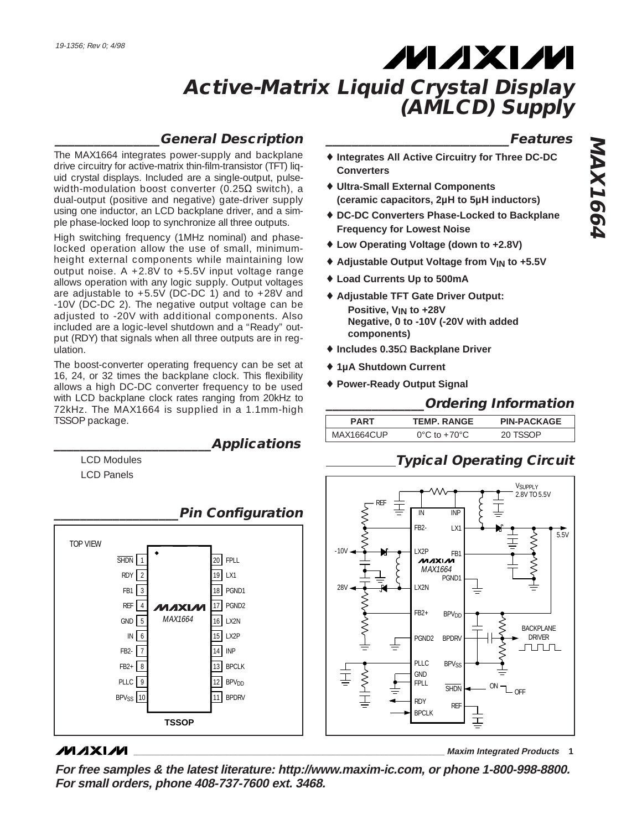### **\_\_\_\_\_\_\_\_\_\_\_\_\_\_\_\_General Description**

**\_\_\_\_\_\_\_\_\_\_\_\_\_\_\_\_\_\_\_\_\_\_\_\_Applications**

The MAX1664 integrates power-supply and backplane drive circuitry for active-matrix thin-film-transistor (TFT) liquid crystal displays. Included are a single-output, pulsewidth-modulation boost converter (0.25 $\Omega$  switch), a dual-output (positive and negative) gate-driver supply using one inductor, an LCD backplane driver, and a simple phase-locked loop to synchronize all three outputs.

High switching frequency (1MHz nominal) and phaselocked operation allow the use of small, minimumheight external components while maintaining low output noise. A  $+2.8V$  to  $+5.5V$  input voltage range allows operation with any logic supply. Output voltages are adjustable to +5.5V (DC-DC 1) and to +28V and -10V (DC-DC 2). The negative output voltage can be adjusted to -20V with additional components. Also included are a logic-level shutdown and a "Ready" output (RDY) that signals when all three outputs are in regulation.

The boost-converter operating frequency can be set at 16, 24, or 32 times the backplane clock. This flexibility allows a high DC-DC converter frequency to be used with LCD backplane clock rates ranging from 20kHz to 72kHz. The MAX1664 is supplied in a 1.1mm-high TSSOP package.

> LCD Modules LCD Panels



## **MAXIM**

**\_\_\_\_\_\_\_\_\_\_\_\_\_\_\_\_\_\_\_\_\_\_\_\_\_\_\_\_\_\_\_\_\_\_\_\_\_\_\_\_\_\_\_\_\_\_\_\_\_\_\_\_\_\_\_\_\_\_\_\_\_\_\_\_ Maxim Integrated Products 1**

**For free samples & the latest literature: http://www.maxim-ic.com, or phone 1-800-998-8800. For small orders, phone 408-737-7600 ext. 3468.**

### **\_\_\_\_\_\_\_\_\_\_\_\_\_\_\_\_\_\_\_\_\_\_\_\_\_\_\_\_Features**

- ♦ **Integrates All Active Circuitry for Three DC-DC Converters**
- ♦ **Ultra-Small External Components (ceramic capacitors, 2µH to 5µH inductors)**
- ♦ **DC-DC Converters Phase-Locked to Backplane Frequency for Lowest Noise**
- ♦ **Low Operating Voltage (down to +2.8V)**
- ♦ **Adjustable Output Voltage from VIN to +5.5V**
- ♦ **Load Currents Up to 500mA**
- ♦ **Adjustable TFT Gate Driver Output: Positive, VIN to +28V Negative, 0 to -10V (-20V with added components)**
- ♦ **Includes 0.35**Ω **Backplane Driver**
- ♦ **1µA Shutdown Current**
- ♦ **Power-Ready Output Signal**

### **\_\_\_\_\_\_\_\_\_\_\_\_\_\_\_Ordering Information**

| <b>PART</b> |            | <b>TEMP. RANGE</b>                 | <b>PIN-PACKAGE</b> |  |
|-------------|------------|------------------------------------|--------------------|--|
|             | MAX1664CUP | $0^{\circ}$ C to +70 $^{\circ}$ C. | 20 TSSOP           |  |

## **Typical Operating Circuit**

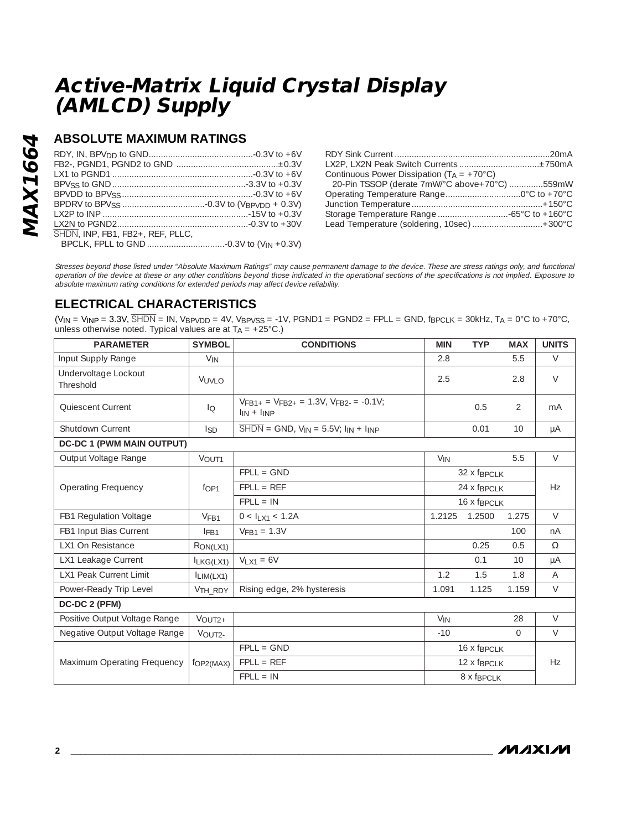## **ABSOLUTE MAXIMUM RATINGS**

| SHDN. INP. FB1. FB2+, REF. PLLC. |  |
|----------------------------------|--|
|                                  |  |

| Continuous Power Dissipation $(T_A = +70^{\circ}C)$ |  |
|-----------------------------------------------------|--|
| 20-Pin TSSOP (derate 7mW/°C above+70°C) 559mW       |  |
|                                                     |  |
|                                                     |  |
|                                                     |  |
| Lead Temperature (soldering, 10sec) +300°C          |  |

Stresses beyond those listed under "Absolute Maximum Ratings" may cause permanent damage to the device. These are stress ratings only, and functional operation of the device at these or any other conditions beyond those indicated in the operational sections of the specifications is not implied. Exposure to absolute maximum rating conditions for extended periods may affect device reliability.

## **ELECTRICAL CHARACTERISTICS**

 $(V_{IN} = V_{INP} = 3.3V$ ,  $\overline{SHDN} = IN$ ,  $V_{BPVDD} = 4V$ ,  $V_{BPVSS} = -1V$ ,  $PGND1 = PGND2 = FPLL = GND$ ,  $fp_{CLK} = 30kHz$ ,  $T_A = 0°C$  to  $+70°C$ , unless otherwise noted. Typical values are at  $T_A = +25^{\circ}C$ .)

| <b>PARAMETER</b>                  | <b>SYMBOL</b>       | <b>CONDITIONS</b>                                                                         | <b>MIN</b>                  | <b>TYP</b>                        | <b>MAX</b> | <b>UNITS</b> |
|-----------------------------------|---------------------|-------------------------------------------------------------------------------------------|-----------------------------|-----------------------------------|------------|--------------|
| Input Supply Range                | $V_{IN}$            |                                                                                           | 2.8                         |                                   | 5.5        | $\vee$       |
| Undervoltage Lockout<br>Threshold | VUVLO               |                                                                                           | 2.5                         |                                   | 2.8        | $\vee$       |
| Quiescent Current                 | $I_{\bigcirc}$      | $V_{\text{FR1+}} = V_{\text{FR2+}} = 1.3V$ , $V_{\text{FR2-}} = -0.1V$ ;<br>$\ln + \ln P$ |                             | 0.5                               | 2          | mA           |
| Shutdown Current                  | l <sub>SD</sub>     | $\overline{\text{SHDN}} = \text{GND}$ , $V_{IN} = 5.5V$ ; $I_{IN} + I_{INP}$              |                             | 0.01                              | 10         | μA           |
| <b>DC-DC 1 (PWM MAIN OUTPUT)</b>  |                     |                                                                                           |                             |                                   |            |              |
| Output Voltage Range              | VOUT1               |                                                                                           | $V_{IN}$                    |                                   | 5.5        | $\vee$       |
|                                   |                     | $FPLL = GND$                                                                              |                             | 32 x f <sub>BPCLK</sub>           |            | Hz           |
| Operating Frequency               | f <sub>OP1</sub>    | $FPLL = REF$                                                                              |                             | $24 \times f$ <sub>BPCI</sub> $K$ |            |              |
|                                   |                     | $FPL = IN$                                                                                |                             | 16 x f <sub>BPCLK</sub>           |            |              |
| FB1 Regulation Voltage            | V <sub>FB1</sub>    | $0 < I_{LX1} < 1.2A$                                                                      | 1.2125                      | 1.2500                            | 1.275      | $\vee$       |
| FB1 Input Bias Current            | IFB1                | $VFB1 = 1.3V$                                                                             |                             |                                   | 100        | nA           |
| LX1 On Resistance                 | RON(LX1)            |                                                                                           |                             | 0.25                              | 0.5        | $\Omega$     |
| LX1 Leakage Current               | $I_{LKG(LX1)}$      | $V_{1}x_{1} = 6V$                                                                         |                             | 0.1                               | 10         | μA           |
| <b>LX1 Peak Current Limit</b>     | $I_{LIM(LX1)}$      |                                                                                           | 1.2                         | 1.5                               | 1.8        | A            |
| Power-Ready Trip Level            | V <sub>TH_RDY</sub> | Rising edge, 2% hysteresis                                                                | 1.091                       | 1.125                             | 1.159      | $\vee$       |
| DC-DC 2 (PFM)                     |                     |                                                                                           |                             |                                   |            |              |
| Positive Output Voltage Range     | $VOUT2+$            |                                                                                           | $V_{IN}$                    |                                   | 28         | $\vee$       |
| Negative Output Voltage Range     | VOUT2-              |                                                                                           | $-10$                       |                                   | $\Omega$   | $\vee$       |
|                                   |                     | $FPLL = GND$                                                                              | $16x$ f <sub>BPCI</sub> $K$ |                                   |            |              |
| Maximum Operating Frequency       | fOP2(MAX)           | $FPLL = REF$<br>12 x f <sub>BPCLK</sub>                                                   |                             |                                   | Hz         |              |
|                                   |                     | $FPLL = IN$                                                                               |                             | 8 x f <sub>BPCLK</sub>            |            |              |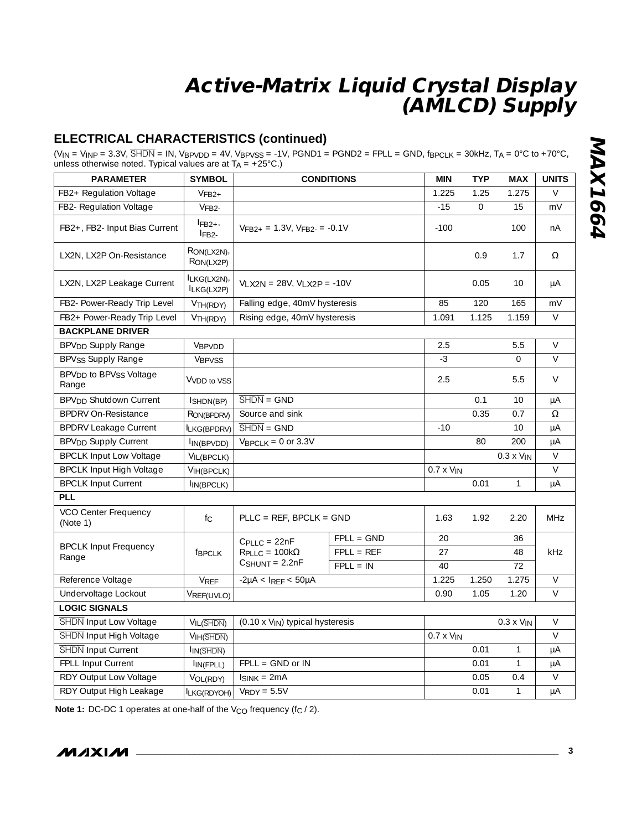### **ELECTRICAL CHARACTERISTICS (continued)**

 $(V_{IN} = V_{INP} = 3.3V$ ,  $\overline{SHDN} = IN$ ,  $V_{BPVDD} = 4V$ ,  $V_{BPVSS} = -1V$ ,  $PGND1 = PGND2 = FPLL = GND$ ,  $fp_{PCLK} = 30kHz$ ,  $T_A = 0^{\circ}C$  to  $+70^{\circ}C$ , unless otherwise noted. Typical values are at  $T_A = +25^{\circ}C$ .)

| <b>PARAMETER</b>                                        | <b>SYMBOL</b>                   |                                       | <b>CONDITIONS</b> | <b>MIN</b>          | <b>TYP</b> | <b>MAX</b>          | <b>UNITS</b>    |
|---------------------------------------------------------|---------------------------------|---------------------------------------|-------------------|---------------------|------------|---------------------|-----------------|
| FB2+ Regulation Voltage                                 | $VFB2+$                         |                                       |                   | 1.225               | 1.25       | 1.275               | $\vee$          |
| FB2- Regulation Voltage                                 | VFB2-                           |                                       |                   | $-15$               | $\Omega$   | 15                  | mV              |
| FB2+, FB2- Input Bias Current                           | $IFB2+$<br>$IFB2-$              | $VFB2_+ = 1.3V$ , $VFB2_ = -0.1V$     |                   | $-100$              |            | 100                 | nA              |
| LX2N, LX2P On-Resistance                                | RON(LX2N),<br>RON(LX2P)         |                                       |                   |                     | 0.9        | 1.7                 | $\Omega$        |
| LX2N, LX2P Leakage Current                              | ILKG(LX2N),<br>ILKG(LX2P)       | $VIX2N = 28V, VIX2P = -10V$           |                   |                     | 0.05       | 10                  | μA              |
| FB2- Power-Ready Trip Level                             | V <sub>TH</sub> (RDY)           | Falling edge, 40mV hysteresis         |                   | 85                  | 120        | 165                 | mV              |
| FB2+ Power-Ready Trip Level                             | V <sub>TH</sub> (RDY)           | Rising edge, 40mV hysteresis          |                   | 1.091               | 1.125      | 1.159               | $\vee$          |
| <b>BACKPLANE DRIVER</b>                                 |                                 |                                       |                   |                     |            |                     |                 |
| BPV <sub>DD</sub> Supply Range                          | VBPVDD                          |                                       |                   | 2.5                 |            | 5.5                 | $\vee$          |
| <b>BPVss Supply Range</b>                               | <b>VBPVSS</b>                   |                                       |                   | $-3$                |            | $\Omega$            | $\vee$          |
| BPV <sub>DD</sub> to BPV <sub>SS</sub> Voltage<br>Range | VVDD to VSS                     |                                       |                   | 2.5                 |            | 5.5                 | $\vee$          |
| <b>BPV<sub>DD</sub></b> Shutdown Current                | ISHDN(BP)                       | $\overline{\text{SHDN}} = \text{GND}$ |                   |                     | 0.1        | 10                  | μA              |
| <b>BPDRV On-Resistance</b>                              | RON(BPDRV)                      | Source and sink                       |                   |                     | 0.35       | 0.7                 | Ω               |
| <b>BPDRV Leakage Current</b>                            | LKG(BPDRV)                      | $\overline{\text{SHDN}} = \text{GND}$ |                   | $-10$               |            | 10                  | μA              |
| <b>BPV<sub>DD</sub></b> Supply Current                  | I <sub>IN</sub> (BPVDD)         | $V_{\text{BPCLK}} = 0$ or 3.3V        |                   |                     | 80         | 200                 | μA              |
| <b>BPCLK Input Low Voltage</b>                          | VIL(BPCLK)                      |                                       |                   |                     |            | $0.3 \times V_{IN}$ | $\vee$          |
| <b>BPCLK Input High Voltage</b>                         | VIH(BPCLK)                      |                                       |                   | $0.7 \times V_{IN}$ |            |                     | $\vee$          |
| <b>BPCLK Input Current</b>                              | IIN(BPCLK)                      |                                       |                   |                     | 0.01       | $\mathbf{1}$        | μA              |
| <b>PLL</b>                                              |                                 |                                       |                   |                     |            |                     |                 |
| VCO Center Frequency<br>(Note 1)                        | fc                              | $PLLC = REF, BPCLK = GND$             |                   | 1.63                | 1.92       | 2.20                | MH <sub>7</sub> |
|                                                         |                                 | $CPIIC = 22nF$                        | $FPLL = GND$      | 20                  |            | 36                  |                 |
| <b>BPCLK Input Frequency</b><br>Range                   | fBPCLK                          | $RPLLC = 100k\Omega$                  | $FPLL = REF$      | 27                  |            | 48                  | kHz             |
|                                                         |                                 | $CSHUNT = 2.2nF$                      | $FPLL = IN$       | 40                  |            | 72                  |                 |
| Reference Voltage                                       | VREF                            | $-2\mu A < I_{REF} < 50\mu A$         |                   | 1.225               | 1.250      | 1.275               | $\vee$          |
| Undervoltage Lockout                                    | VREF(UVLO)                      |                                       |                   | 0.90                | 1.05       | 1.20                | $\vee$          |
| <b>LOGIC SIGNALS</b>                                    |                                 |                                       |                   |                     |            |                     |                 |
| <b>SHDN</b> Input Low Voltage                           | VIL(SHDN)                       | (0.10 x VIN) typical hysteresis       |                   |                     |            | $0.3 \times V_{IN}$ | $\vee$          |
| SHDN Input High Voltage                                 | V <sub>IH</sub> ( <b>SHDN</b> ) |                                       |                   | $0.7 \times V_{IN}$ |            |                     | $\vee$          |
| SHDN Input Current                                      | I <sub>IN</sub> (SHDN)          |                                       |                   |                     | 0.01       | 1                   | μA              |
| FPLL Input Current                                      | $I_{IN(FPLL)}$                  | $FPLL = GND$ or $IN$                  |                   |                     | 0.01       | $\mathbf{1}$        | μA              |
| RDY Output Low Voltage                                  | VOL(RDY)                        | $IsINK = 2mA$                         |                   |                     | 0.05       | 0.4                 | $\vee$          |
| RDY Output High Leakage                                 | $ LKG(RDYOH) $ $VRDY = 5.5V$    |                                       |                   |                     | 0.01       | $\mathbf{1}$        | μA              |

**Note 1:** DC-DC 1 operates at one-half of the V<sub>CO</sub> frequency (f<sub>C</sub> / 2).

$$
M\Lambda X\Lambda M
$$

**MAX1664 MAX1664**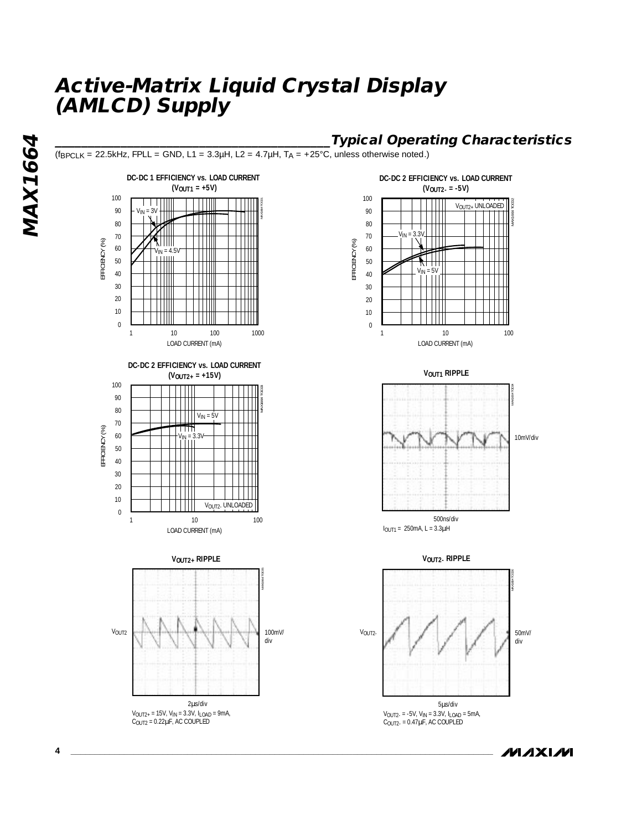

*MAXIM* 

MAX1664 **MAX1664**

**4 \_\_\_\_\_\_\_\_\_\_\_\_\_\_\_\_\_\_\_\_\_\_\_\_\_\_\_\_\_\_\_\_\_\_\_\_\_\_\_\_\_\_\_\_\_\_\_\_\_\_\_\_\_\_\_\_\_\_\_\_\_\_\_\_\_\_\_\_\_\_\_\_\_\_\_\_\_\_\_\_\_\_\_\_\_\_\_**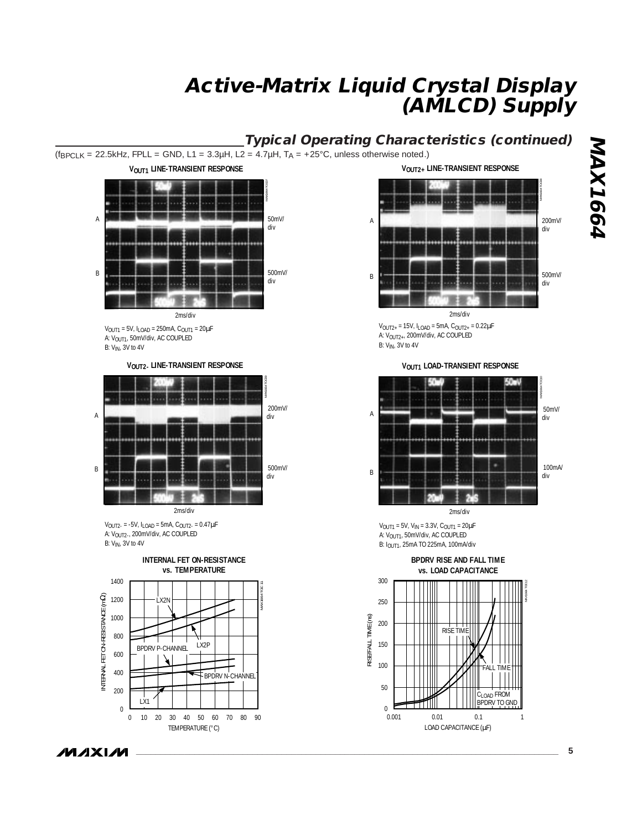## **Typical Operating Characteristics (continued)**

 $(f_{\text{BPCLK}} = 22.5 \text{kHz}$ , FPLL = GND, L1 = 3.3µH, L2 = 4.7µH, T<sub>A</sub> = +25°C, unless otherwise noted.)



 $V_{\text{OUT2-}} = -5V$ ,  $I_{\text{LOAD}} = 5mA$ ,  $C_{\text{OUT2-}} = 0.47 \mu F$ A: V<sub>OUT2-</sub>, 200mV/div, AC COUPLED B: V<sub>IN</sub>, 3V to 4V



**VOUT2+ LINE-TRANSIENT RESPONSE**



 $V_{\text{OUT2+}} = 15V$ ,  $I_{\text{LOAD}} = 5mA$ ,  $C_{\text{OUT2+}} = 0.22 \mu F$ A: VOUT2+, 200mV/div, AC COUPLED

**VOUT1 LOAD-TRANSIENT RESPONSE**



 $V_{\text{OUT1}} = 5V$ ,  $V_{\text{IN}} = 3.3V$ ,  $C_{\text{OUT1}} = 20 \mu F$ A: V<sub>OUT1</sub>, 50mV/div, AC COUPLED B: I<sub>OUT1</sub>, 25mA TO 225mA, 100mA/div



**MAX1664 MAX1664**

**\_\_\_\_\_\_\_\_\_\_\_\_\_\_\_\_\_\_\_\_\_\_\_\_\_\_\_\_\_\_\_\_\_\_\_\_\_\_\_\_\_\_\_\_\_\_\_\_\_\_\_\_\_\_\_\_\_\_\_\_\_\_\_\_\_\_\_\_\_\_\_\_\_\_\_\_\_\_\_\_\_\_\_\_\_\_\_ 5**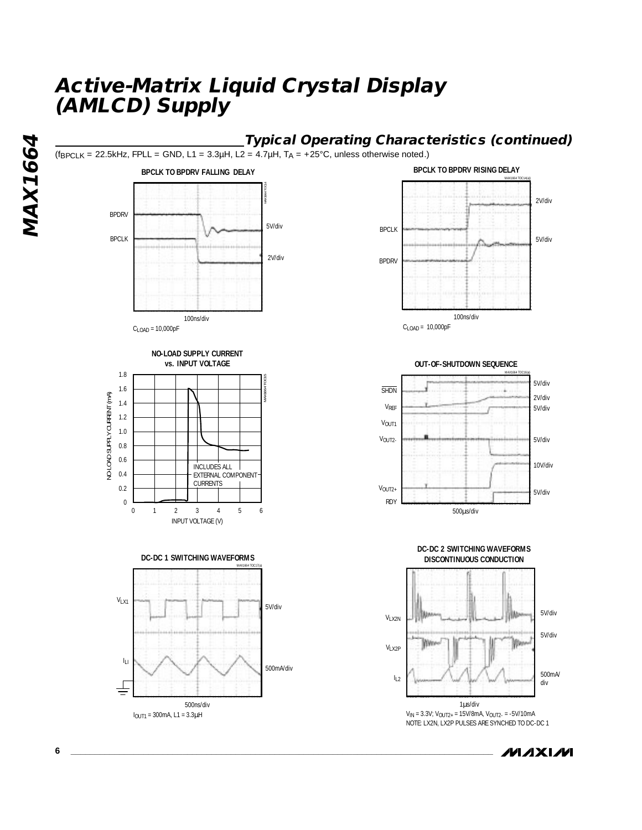

*IVI AXI IVI* 

**MAX1664**

**MAX1664**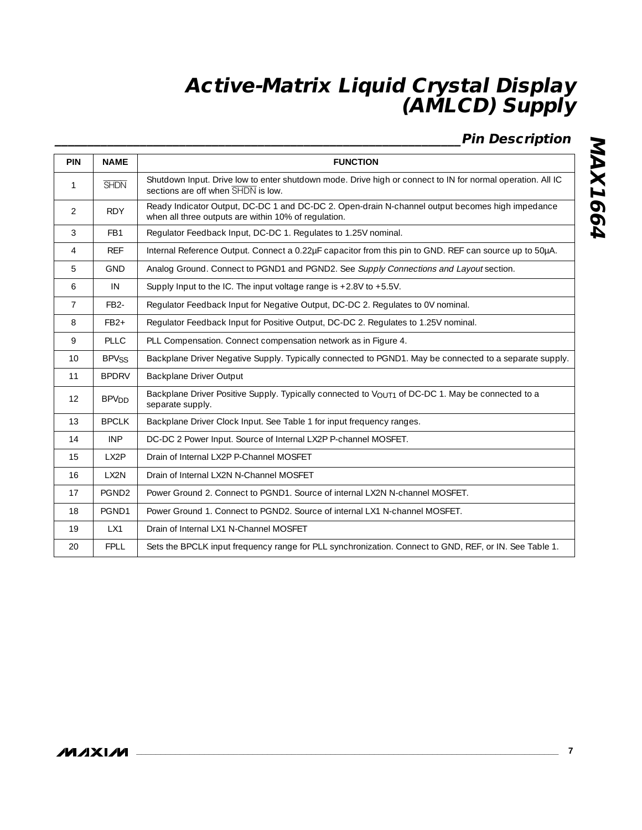## **\_\_\_\_\_\_\_\_\_\_\_\_\_\_\_\_\_\_\_\_\_\_\_\_\_\_\_\_\_\_\_\_\_\_\_\_\_\_\_\_\_\_\_\_\_\_\_\_\_\_\_\_\_\_\_\_\_\_\_\_\_\_Pin Description**

| PIN            | <b>NAME</b>             | <b>FUNCTION</b>                                                                                                                                         |
|----------------|-------------------------|---------------------------------------------------------------------------------------------------------------------------------------------------------|
| $\mathbf{1}$   | <b>SHDN</b>             | Shutdown Input. Drive low to enter shutdown mode. Drive high or connect to IN for normal operation. All IC<br>sections are off when SHDN is low.        |
| $\mathcal{P}$  | <b>RDY</b>              | Ready Indicator Output, DC-DC 1 and DC-DC 2. Open-drain N-channel output becomes high impedance<br>when all three outputs are within 10% of regulation. |
| 3              | FB1                     | Regulator Feedback Input, DC-DC 1. Regulates to 1.25V nominal.                                                                                          |
| $\overline{4}$ | <b>REF</b>              | Internal Reference Output. Connect a 0.22µF capacitor from this pin to GND. REF can source up to 50µA.                                                  |
| 5              | <b>GND</b>              | Analog Ground. Connect to PGND1 and PGND2. See Supply Connections and Layout section.                                                                   |
| 6              | IN                      | Supply Input to the IC. The input voltage range is $+2.8V$ to $+5.5V$ .                                                                                 |
| $\overline{7}$ | FB <sub>2</sub> -       | Regulator Feedback Input for Negative Output, DC-DC 2. Regulates to 0V nominal.                                                                         |
| 8              | $FB2+$                  | Regulator Feedback Input for Positive Output, DC-DC 2. Regulates to 1.25V nominal.                                                                      |
| 9              | <b>PLLC</b>             | PLL Compensation. Connect compensation network as in Figure 4.                                                                                          |
| 10             | <b>BPVSS</b>            | Backplane Driver Negative Supply. Typically connected to PGND1. May be connected to a separate supply.                                                  |
| 11             | <b>BPDRV</b>            | Backplane Driver Output                                                                                                                                 |
| 12             | <b>BPV<sub>DD</sub></b> | Backplane Driver Positive Supply. Typically connected to V <sub>OUT1</sub> of DC-DC 1. May be connected to a<br>separate supply.                        |
| 13             | <b>BPCLK</b>            | Backplane Driver Clock Input. See Table 1 for input frequency ranges.                                                                                   |
| 14             | <b>INP</b>              | DC-DC 2 Power Input. Source of Internal LX2P P-channel MOSFET.                                                                                          |
| 15             | LX2P                    | Drain of Internal LX2P P-Channel MOSFET                                                                                                                 |
| 16             | LX2N                    | Drain of Internal LX2N N-Channel MOSFET                                                                                                                 |
| 17             | PGND <sub>2</sub>       | Power Ground 2. Connect to PGND1. Source of internal LX2N N-channel MOSFET.                                                                             |
| 18             | PGND1                   | Power Ground 1. Connect to PGND2. Source of internal LX1 N-channel MOSFET.                                                                              |
| 19             | LX1                     | Drain of Internal LX1 N-Channel MOSFET                                                                                                                  |
| 20             | <b>FPLL</b>             | Sets the BPCLK input frequency range for PLL synchronization. Connect to GND, REF, or IN. See Table 1.                                                  |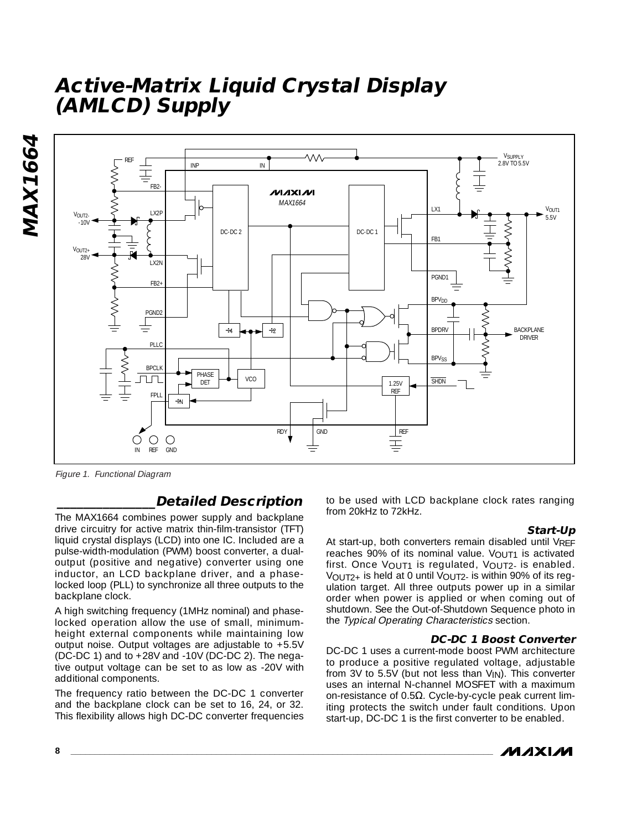

Figure 1. Functional Diagram

### **\_\_\_\_\_\_\_\_\_\_\_\_\_\_\_Detailed Description**

The MAX1664 combines power supply and backplane drive circuitry for active matrix thin-film-transistor (TFT) liquid crystal displays (LCD) into one IC. Included are a pulse-width-modulation (PWM) boost converter, a dualoutput (positive and negative) converter using one inductor, an LCD backplane driver, and a phaselocked loop (PLL) to synchronize all three outputs to the backplane clock.

A high switching frequency (1MHz nominal) and phaselocked operation allow the use of small, minimumheight external components while maintaining low output noise. Output voltages are adjustable to +5.5V (DC-DC 1) and to +28V and -10V (DC-DC 2). The negative output voltage can be set to as low as -20V with additional components.

The frequency ratio between the DC-DC 1 converter and the backplane clock can be set to 16, 24, or 32. This flexibility allows high DC-DC converter frequencies

to be used with LCD backplane clock rates ranging from 20kHz to 72kHz.

#### **Start-Up**

At start-up, both converters remain disabled until VRFF reaches 90% of its nominal value. VOUT1 is activated first. Once VOUT1 is regulated, VOUT2- is enabled. VOUT2+ is held at 0 until VOUT2- is within 90% of its regulation target. All three outputs power up in a similar order when power is applied or when coming out of shutdown. See the Out-of-Shutdown Sequence photo in the Typical Operating Characteristics section.

#### **DC-DC 1 Boost Converter**

DC-DC 1 uses a current-mode boost PWM architecture to produce a positive regulated voltage, adjustable from 3V to 5.5V (but not less than  $V_{\text{IN}}$ ). This converter uses an internal N-channel MOSFET with a maximum on-resistance of 0.5Ω. Cycle-by-cycle peak current limiting protects the switch under fault conditions. Upon start-up, DC-DC 1 is the first converter to be enabled.

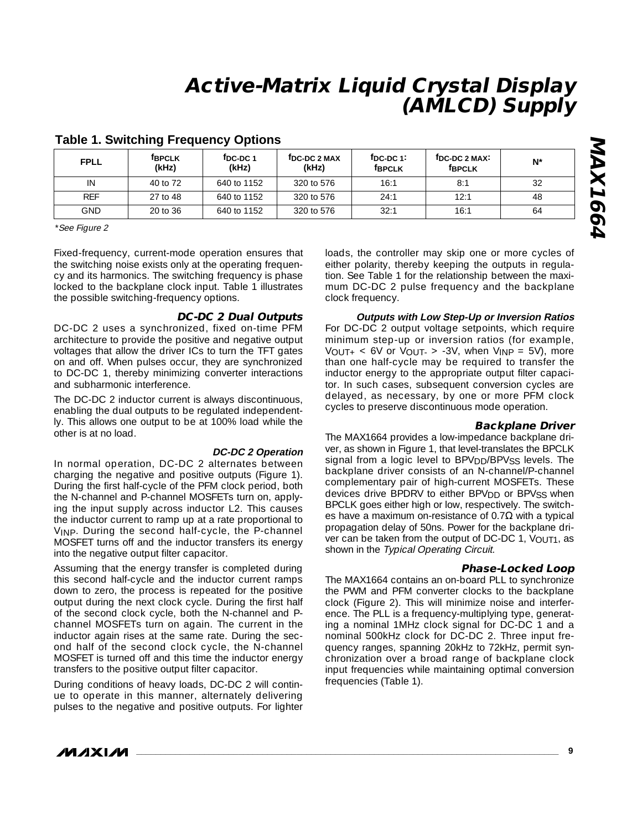| <b>FPLL</b> | <b>FBPCLK</b><br>(kHz) | <sup>f</sup> DC-DC 1<br>(kHz) | TDC-DC 2 MAX<br>(kHz) | $†DC-DC 1$<br><b>f</b> BPCLK | <sup>f</sup> DC-DC 2 MAX <sup>:</sup><br><b>f</b> BPCLK | $N^*$ |
|-------------|------------------------|-------------------------------|-----------------------|------------------------------|---------------------------------------------------------|-------|
| IN          | 40 to 72               | 640 to 1152                   | 320 to 576            | 16:1                         | 8:1                                                     | 32    |
| <b>REF</b>  | 27 to 48               | 640 to 1152                   | 320 to 576            | 24:1                         | 12:1                                                    | 48    |
| GND.        | 20 to 36               | 640 to 1152                   | 320 to 576            | 32:1                         | 16:1                                                    | 64    |

### **Table 1. Switching Frequency Options**

\*See Figure 2

Fixed-frequency, current-mode operation ensures that the switching noise exists only at the operating frequency and its harmonics. The switching frequency is phase locked to the backplane clock input. Table 1 illustrates the possible switching-frequency options.

### **DC-DC 2 Dual Outputs**

DC-DC 2 uses a synchronized, fixed on-time PFM architecture to provide the positive and negative output voltages that allow the driver ICs to turn the TFT gates on and off. When pulses occur, they are synchronized to DC-DC 1, thereby minimizing converter interactions and subharmonic interference.

The DC-DC 2 inductor current is always discontinuous, enabling the dual outputs to be regulated independently. This allows one output to be at 100% load while the other is at no load.

#### **DC-DC 2 Operation**

In normal operation, DC-DC 2 alternates between charging the negative and positive outputs (Figure 1). During the first half-cycle of the PFM clock period, both the N-channel and P-channel MOSFETs turn on, applying the input supply across inductor L2. This causes the inductor current to ramp up at a rate proportional to VINP. During the second half-cycle, the P-channel MOSFET turns off and the inductor transfers its energy into the negative output filter capacitor.

Assuming that the energy transfer is completed during this second half-cycle and the inductor current ramps down to zero, the process is repeated for the positive output during the next clock cycle. During the first half of the second clock cycle, both the N-channel and Pchannel MOSFETs turn on again. The current in the inductor again rises at the same rate. During the second half of the second clock cycle, the N-channel MOSFET is turned off and this time the inductor energy transfers to the positive output filter capacitor.

During conditions of heavy loads, DC-DC 2 will continue to operate in this manner, alternately delivering pulses to the negative and positive outputs. For lighter loads, the controller may skip one or more cycles of either polarity, thereby keeping the outputs in regulation. See Table 1 for the relationship between the maximum DC-DC 2 pulse frequency and the backplane clock frequency.

**Outputs with Low Step-Up or Inversion Ratios** For DC-DC 2 output voltage setpoints, which require minimum step-up or inversion ratios (for example,  $V_{\text{OUT+}}$  < 6V or  $V_{\text{OUT-}}$  > -3V, when  $V_{\text{INP}}$  = 5V), more than one half-cycle may be required to transfer the inductor energy to the appropriate output filter capacitor. In such cases, subsequent conversion cycles are delayed, as necessary, by one or more PFM clock cycles to preserve discontinuous mode operation.

### **Backplane Driver**

The MAX1664 provides a low-impedance backplane driver, as shown in Figure 1, that level-translates the BPCLK signal from a logic level to BPV<sub>DD</sub>/BPV<sub>SS</sub> levels. The backplane driver consists of an N-channel/P-channel complementary pair of high-current MOSFETs. These devices drive BPDRV to either BPV<sub>DD</sub> or BPV<sub>SS</sub> when BPCLK goes either high or low, respectively. The switches have a maximum on-resistance of  $0.7\Omega$  with a typical propagation delay of 50ns. Power for the backplane driver can be taken from the output of DC-DC 1,  $V_{\text{OUT1}}$ , as shown in the Typical Operating Circuit.

### **Phase-Locked Loop**

The MAX1664 contains an on-board PLL to synchronize the PWM and PFM converter clocks to the backplane clock (Figure 2). This will minimize noise and interference. The PLL is a frequency-multiplying type, generating a nominal 1MHz clock signal for DC-DC 1 and a nominal 500kHz clock for DC-DC 2. Three input frequency ranges, spanning 20kHz to 72kHz, permit synchronization over a broad range of backplane clock input frequencies while maintaining optimal conversion frequencies (Table 1).

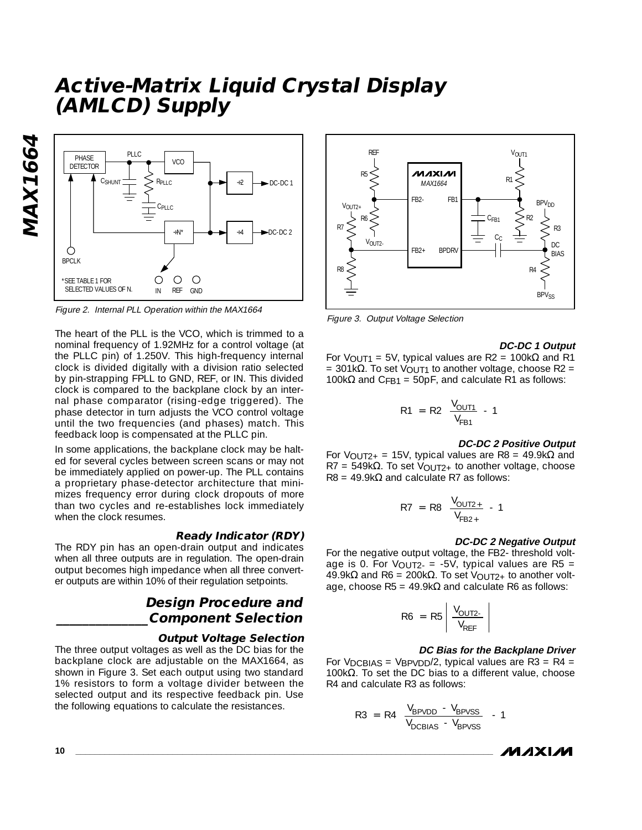**MAX1664 MAX1664** 



Figure 2. Internal PLL Operation within the MAX1664

The heart of the PLL is the VCO, which is trimmed to a nominal frequency of 1.92MHz for a control voltage (at the PLLC pin) of 1.250V. This high-frequency internal clock is divided digitally with a division ratio selected by pin-strapping FPLL to GND, REF, or IN. This divided clock is compared to the backplane clock by an internal phase comparator (rising-edge triggered). The phase detector in turn adjusts the VCO control voltage until the two frequencies (and phases) match. This feedback loop is compensated at the PLLC pin.

In some applications, the backplane clock may be halted for several cycles between screen scans or may not be immediately applied on power-up. The PLL contains a proprietary phase-detector architecture that minimizes frequency error during clock dropouts of more than two cycles and re-establishes lock immediately when the clock resumes.

#### **Ready Indicator (RDY)**

The RDY pin has an open-drain output and indicates when all three outputs are in regulation. The open-drain output becomes high impedance when all three converter outputs are within 10% of their regulation setpoints.

## **Design Procedure and \_\_\_\_\_\_\_\_\_\_\_\_\_\_Component Selection**

#### **Output Voltage Selection**

The three output voltages as well as the DC bias for the backplane clock are adjustable on the MAX1664, as shown in Figure 3. Set each output using two standard 1% resistors to form a voltage divider between the selected output and its respective feedback pin. Use the following equations to calculate the resistances.



Figure 3. Output Voltage Selection

#### **DC-DC 1 Output**

For V<sub>OUT1</sub> = 5V, typical values are R2 = 100kΩ and R1 = 301kΩ. To set V<sub>OUT1</sub> to another voltage, choose R2 = 100k $\Omega$  and C<sub>FB1</sub> = 50pF, and calculate R1 as follows:

$$
R1 = R2 \left( \frac{V_{\text{OUT1}}}{V_{\text{FB1}}} - 1 \right)
$$

#### **DC-DC 2 Positive Output**

For V<sub>OUT2+</sub> = 15V, typical values are R8 = 49.9k $\Omega$  and R7 = 549k $\Omega$ . To set V<sub>OUT2+</sub> to another voltage, choose  $R8 = 49.9k\Omega$  and calculate R7 as follows:

$$
R7 = R8 \left( \frac{V_{\text{OUT2+}}}{V_{\text{FB2+}}} - 1 \right)
$$

#### **DC-DC 2 Negative Output**

For the negative output voltage, the FB2- threshold voltage is 0. For  $V_{\text{OUT2-}} = -5V$ , typical values are R5 = 49.9kΩ and R6 = 200kΩ. To set V<sub>OUT2+</sub> to another voltage, choose  $R5 = 49.9k\Omega$  and calculate R6 as follows:

$$
R6 = R5 \left| \frac{V_{\text{OUT2-}}}{V_{\text{REF}}}\right|
$$

#### **DC Bias for the Backplane Driver**

For  $V_{DCBIAS} = V_{BPVDD}/2$ , typical values are R3 = R4 = 100k $Ω$ . To set the DC bias to a different value, choose R4 and calculate R3 as follows:

$$
R3 = R4 \left( \frac{V_{BPVDD} - V_{BPVSS}}{V_{DCBIAS} - V_{BPVSS}} - 1 \right)
$$

*MAXM*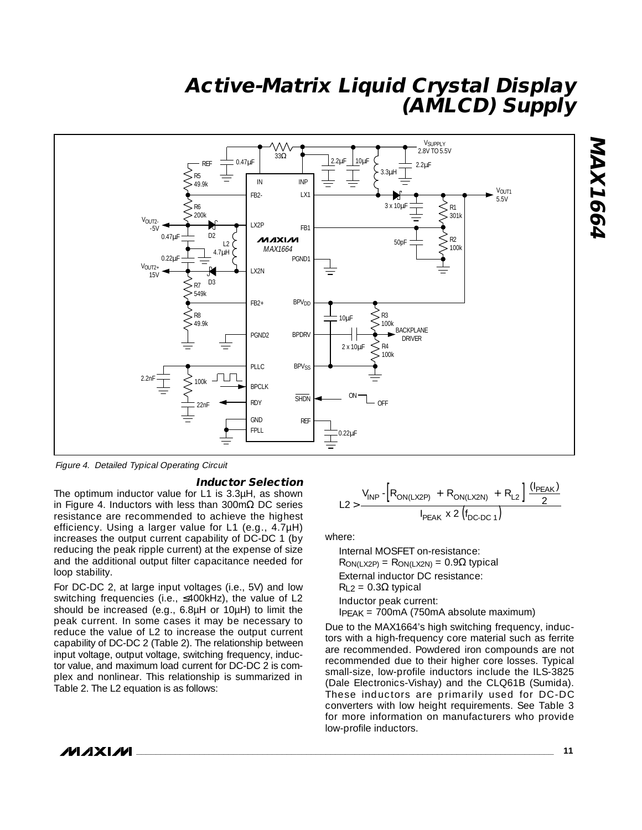

Figure 4. Detailed Typical Operating Circuit

#### **Inductor Selection**

The optimum inductor value for L1 is 3.3µH, as shown in Figure 4. Inductors with less than 300mΩ DC series resistance are recommended to achieve the highest efficiency. Using a larger value for L1 (e.g., 4.7µH) increases the output current capability of DC-DC 1 (by reducing the peak ripple current) at the expense of size and the additional output filter capacitance needed for loop stability.

For DC-DC 2, at large input voltages (i.e., 5V) and low switching frequencies (i.e., ≤400kHz), the value of L2 should be increased (e.g., 6.8µH or 10µH) to limit the peak current. In some cases it may be necessary to reduce the value of L2 to increase the output current capability of DC-DC 2 (Table 2). The relationship between input voltage, output voltage, switching frequency, inductor value, and maximum load current for DC-DC 2 is complex and nonlinear. This relationship is summarized in Table 2. The L2 equation is as follows:

$$
L2 > \frac{V_{INP} - \left[R_{ON(LX2P)} + R_{ON(LX2N)} + R_{L2}\right] \frac{(I_{PEAK})}{2}}{I_{PEAK} \times 2 \left(f_{DC-DC-1}\right)}
$$

where:

Internal MOSFET on-resistance:  $R_{ON(LX2P)} = R_{ON(LX2N)} = 0.9\Omega$  typical External inductor DC resistance:  $R_{L2} = 0.3\Omega$  typical Inductor peak current: IPEAK = 700mA (750mA absolute maximum)

Due to the MAX1664's high switching frequency, inductors with a high-frequency core material such as ferrite are recommended. Powdered iron compounds are not recommended due to their higher core losses. Typical small-size, low-profile inductors include the ILS-3825 (Dale Electronics-Vishay) and the CLQ61B (Sumida). These inductors are primarily used for DC-DC converters with low height requirements. See Table 3 for more information on manufacturers who provide low-profile inductors.

### **MAXIM**

**\_\_\_\_\_\_\_\_\_\_\_\_\_\_\_\_\_\_\_\_\_\_\_\_\_\_\_\_\_\_\_\_\_\_\_\_\_\_\_\_\_\_\_\_\_\_\_\_\_\_\_\_\_\_\_\_\_\_\_\_\_\_\_\_\_\_\_\_\_\_\_\_\_\_\_\_\_\_\_\_\_\_\_\_\_\_ 11**

**MAX1664**

**MAX1664**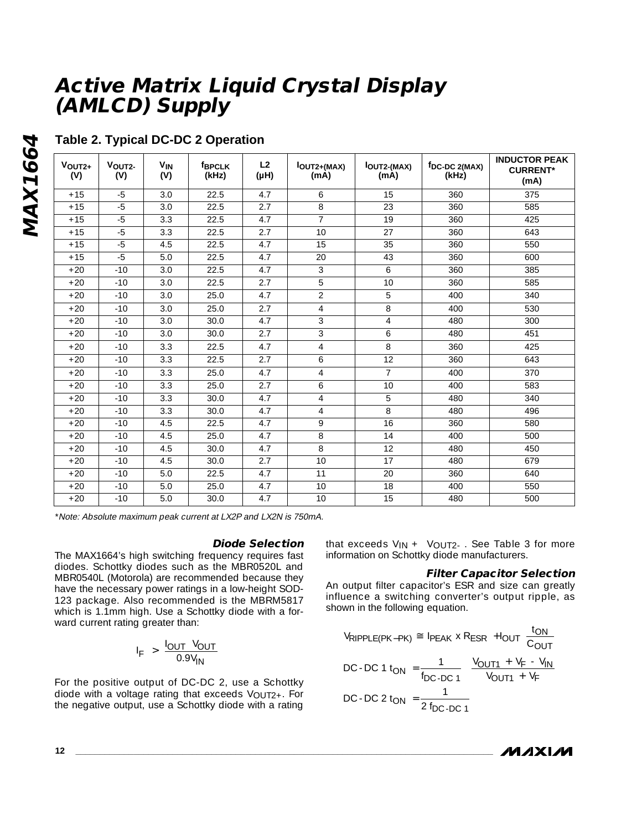| $VOUT2+$<br>(V) | VOUT2-<br>(V) | <b>V<sub>IN</sub></b><br>(V) | <b>fBPCLK</b><br>(kHz) | L2<br>(HH) | lout <sub>2+(MAX)</sub><br>(mA) | <b>IOUT2-(MAX)</b><br>(mA) | fDC-DC 2(MAX)<br>(kHz) | <b>INDUCTOR PEAK</b><br><b>CURRENT*</b><br>(mA) |
|-----------------|---------------|------------------------------|------------------------|------------|---------------------------------|----------------------------|------------------------|-------------------------------------------------|
| $+15$           | $-5$          | 3.0                          | 22.5                   | 4.7        | 6                               | 15                         | 360                    | 375                                             |
| $+15$           | $-5$          | 3.0                          | 22.5                   | 2.7        | 8                               | $\overline{23}$            | 360                    | 585                                             |
| $+15$           | $-5$          | 3.3                          | 22.5                   | 4.7        | $\overline{7}$                  | 19                         | 360                    | 425                                             |
| $+15$           | $-5$          | 3.3                          | 22.5                   | 2.7        | 10 <sup>1</sup>                 | 27                         | 360                    | 643                                             |
| $+15$           | $-5$          | 4.5                          | 22.5                   | 4.7        | 15                              | 35                         | 360                    | 550                                             |
| $+15$           | $-5$          | 5.0                          | 22.5                   | 4.7        | 20                              | 43                         | 360                    | 600                                             |
| $+20$           | $-10$         | 3.0                          | 22.5                   | 4.7        | 3                               | 6                          | 360                    | 385                                             |
| $+20$           | $-10$         | 3.0                          | 22.5                   | 2.7        | 5                               | 10                         | 360                    | 585                                             |
| $+20$           | $-10$         | 3.0                          | 25.0                   | 4.7        | $\overline{2}$                  | 5                          | 400                    | 340                                             |
| $+20$           | $-10$         | 3.0                          | 25.0                   | 2.7        | $\overline{4}$                  | 8                          | 400                    | 530                                             |
| $+20$           | $-10$         | 3.0                          | 30.0                   | 4.7        | 3                               | $\overline{4}$             | 480                    | 300                                             |
| $+20$           | $-10$         | 3.0                          | 30.0                   | 2.7        | 3                               | 6                          | 480                    | 451                                             |
| $+20$           | $-10$         | 3.3                          | 22.5                   | 4.7        | $\overline{4}$                  | 8                          | 360                    | 425                                             |
| $+20$           | $-10$         | 3.3                          | 22.5                   | 2.7        | 6                               | 12                         | 360                    | 643                                             |
| $+20$           | $-10$         | 3.3                          | 25.0                   | 4.7        | $\overline{4}$                  | $\overline{7}$             | 400                    | 370                                             |
| $+20$           | $-10$         | 3.3                          | 25.0                   | 2.7        | 6                               | 10                         | 400                    | 583                                             |
| $+20$           | $-10$         | 3.3                          | 30.0                   | 4.7        | $\overline{4}$                  | 5                          | 480                    | 340                                             |
| $+20$           | $-10$         | 3.3                          | 30.0                   | 4.7        | $\overline{4}$                  | 8                          | 480                    | 496                                             |
| $+20$           | $-10$         | 4.5                          | 22.5                   | 4.7        | 9                               | 16                         | 360                    | 580                                             |
| $+20$           | $-10$         | 4.5                          | 25.0                   | 4.7        | 8                               | 14                         | 400                    | 500                                             |
| $+20$           | $-10$         | 4.5                          | 30.0                   | 4.7        | 8                               | 12                         | 480                    | 450                                             |
| $+20$           | $-10$         | 4.5                          | 30.0                   | 2.7        | 10                              | 17                         | 480                    | 679                                             |
| $+20$           | $-10$         | 5.0                          | 22.5                   | 4.7        | 11                              | 20                         | 360                    | 640                                             |
| $+20$           | $-10$         | 5.0                          | 25.0                   | 4.7        | 10                              | 18                         | 400                    | 550                                             |
| $+20$           | $-10$         | 5.0                          | 30.0                   | 4.7        | 10                              | 15                         | 480                    | 500                                             |

## **Table 2. Typical DC-DC 2 Operation**

\*Note: Absolute maximum peak current at LX2P and LX2N is 750mA.

#### **Diode Selection**

The MAX1664's high switching frequency requires fast diodes. Schottky diodes such as the MBR0520L and MBR0540L (Motorola) are recommended because they have the necessary power ratings in a low-height SOD-123 package. Also recommended is the MBRM5817 which is 1.1mm high. Use a Schottky diode with a forward current rating greater than:

$$
I_F > \frac{I_{OUT} V_{OUT}}{0.9 V_{IN}}
$$

For the positive output of DC-DC 2, use a Schottky diode with a voltage rating that exceeds  $V_{\Omega U}T_{2+}$ . For the negative output, use a Schottky diode with a rating that exceeds  $V_{IN}$  +  $V_{OUT2}$ . See Table 3 for more information on Schottky diode manufacturers.

### **Filter Capacitor Selection**

An output filter capacitor's ESR and size can greatly influence a switching converter's output ripple, as shown in the following equation.

$$
V_{RIPPLE(PK-PK)} \cong I_{PEAK} \times R_{ESR} + I_{OUT} \left(\frac{t_{ON}}{C_{OUT}}\right)
$$
  
DC-DC 1  $t_{ON} = \frac{1}{f_{DC-DC 1}} \left(\frac{V_{OUT1} + V_F - V_{IN}}{V_{OUT1} + V_F}\right)$   
DC-DC 2  $t_{ON} = \frac{1}{2 f_{DC-DC 1}}$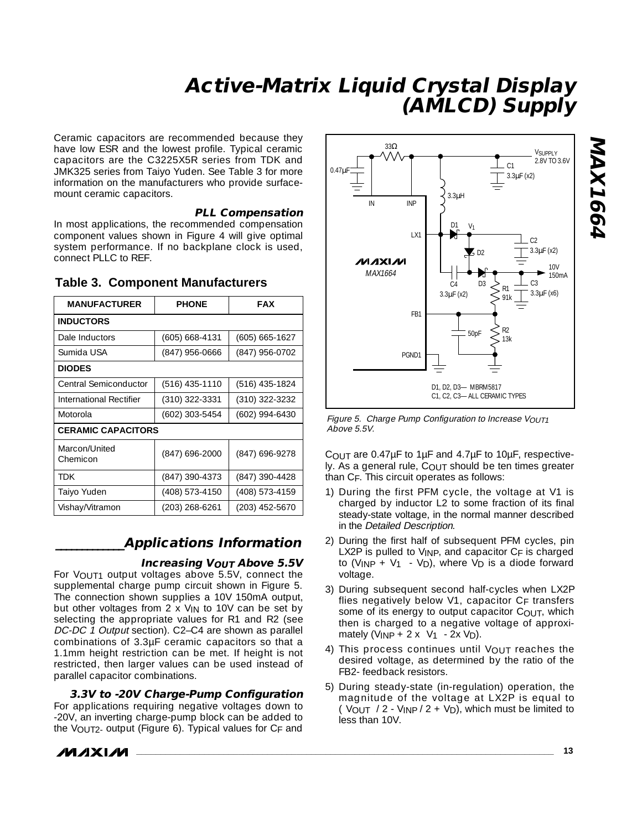Ceramic capacitors are recommended because they have low ESR and the lowest profile. Typical ceramic capacitors are the C3225X5R series from TDK and JMK325 series from Taiyo Yuden. See Table 3 for more information on the manufacturers who provide surfacemount ceramic capacitors.

### **PLL Compensation**

In most applications, the recommended compensation component values shown in Figure 4 will give optimal system performance. If no backplane clock is used, connect PLLC to REF.

| <b>MANUFACTURER</b>       | <b>PHONE</b>     | <b>FAX</b>         |
|---------------------------|------------------|--------------------|
| <b>INDUCTORS</b>          |                  |                    |
| Dale Inductors            | (605) 668-4131   | $(605) 665 - 1627$ |
| Sumida USA                | (847) 956-0666   | (847) 956-0702     |
| <b>DIODES</b>             |                  |                    |
| Central Semiconductor     | $(516)$ 435-1110 | $(516)$ 435-1824   |
| International Rectifier   | (310) 322-3331   | (310) 322-3232     |
| Motorola                  | (602) 303-5454   | $(602)$ 994-6430   |
| <b>CERAMIC CAPACITORS</b> |                  |                    |
| Marcon/United<br>Chemicon | (847) 696-2000   | (847) 696-9278     |
| <b>TDK</b>                | (847) 390-4373   | (847) 390-4428     |
| Taiyo Yuden               | (408) 573-4150   | (408) 573-4159     |
| Vishay/Vitramon           | (203) 268-6261   | (203) 452-5670     |

### **Table 3. Component Manufacturers**

### **\_\_\_\_\_\_\_\_\_\_\_\_\_Applications Information**

#### **Increasing V<sub>OUT</sub> Above 5.5V**

For VOUT1 output voltages above 5.5V, connect the supplemental charge pump circuit shown in Figure 5. The connection shown supplies a 10V 150mA output, but other voltages from  $2 \times V_{IN}$  to 10V can be set by selecting the appropriate values for R1 and R2 (see DC-DC 1 Output section). C2–C4 are shown as parallel combinations of 3.3µF ceramic capacitors so that a 1.1mm height restriction can be met. If height is not restricted, then larger values can be used instead of parallel capacitor combinations.

### **3.3V to -20V Charge-Pump Configuration**

For applications requiring negative voltages down to -20V, an inverting charge-pump block can be added to the VOUT2- output (Figure 6). Typical values for CF and

$$
\boldsymbol{M}\boldsymbol{\mathcal{X}}\boldsymbol{M}
$$



Figure 5. Charge Pump Configuration to Increase VOUT1 Above 5.5V.

COUT are 0.47µF to 1µF and 4.7µF to 10µF, respectively. As a general rule, COUT should be ten times greater than CF. This circuit operates as follows:

- 1) During the first PFM cycle, the voltage at V1 is charged by inductor L2 to some fraction of its final steady-state voltage, in the normal manner described in the Detailed Description.
- 2) During the first half of subsequent PFM cycles, pin LX2P is pulled to VINP, and capacitor CF is charged to  $(V_{INP} + V_1 \cdot V_D)$ , where  $V_D$  is a diode forward voltage.
- 3) During subsequent second half-cycles when LX2P flies negatively below  $V1$ , capacitor  $C_F$  transfers some of its energy to output capacitor COUT, which then is charged to a negative voltage of approximately (VINP  $+ 2 \times \sqrt{11 - 2x}$  VD).
- 4) This process continues until VOUT reaches the desired voltage, as determined by the ratio of the FB2- feedback resistors.
- 5) During steady-state (in-regulation) operation, the magnitude of the voltage at LX2P is equal to  $(\overline{V_{\text{OUT}}}\)/2 - \overline{V_{\text{IN}}}\sqrt{2 + V_{\text{D}}})$ , which must be limited to less than 10V.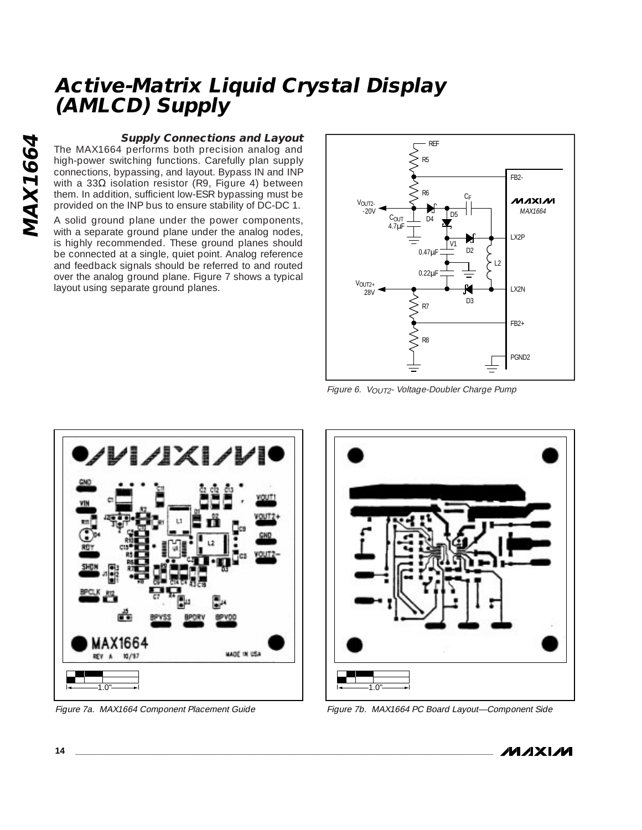#### **Supply Connections and Layout**

The MAX1664 performs both precision analog and high-power switching functions. Carefully plan supply connections, bypassing, and layout. Bypass IN and INP with a 33Ω isolation resistor (R9, Figure 4) between them. In addition, sufficient low-ESR bypassing must be provided on the INP bus to ensure stability of DC-DC 1.

A solid ground plane under the power components, with a separate ground plane under the analog nodes, is highly recommended. These ground planes should be connected at a single, quiet point. Analog reference and feedback signals should be referred to and routed over the analog ground plane. Figure 7 shows a typical layout using separate ground planes.



Figure 6. VOUT2- Voltage-Doubler Charge Pump





Figure 7a. MAX1664 Component Placement Guide Figure 7b. MAX1664 PC Board Layout—Component Side

**MAXIM**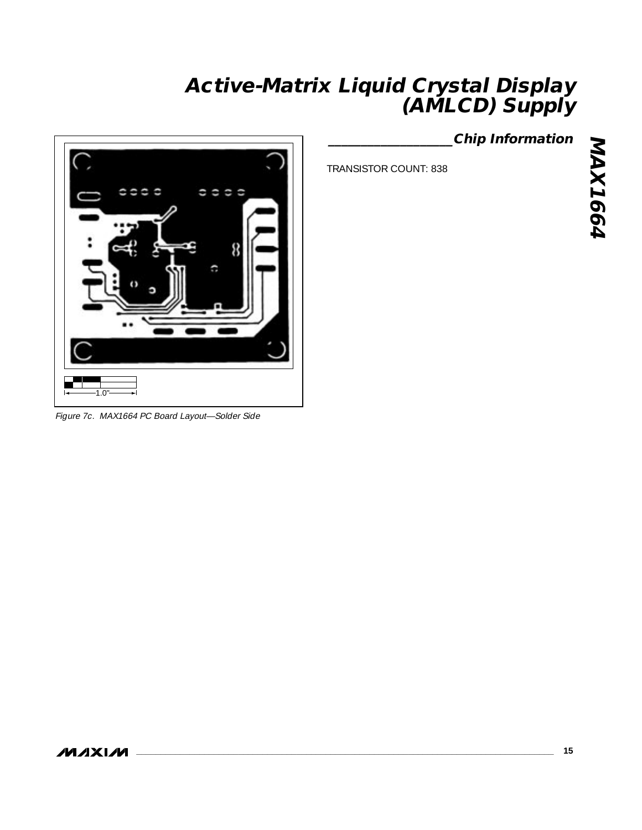

Figure 7c. MAX1664 PC Board Layout—Solder Side

## **\_\_\_\_\_\_\_\_\_\_\_\_\_\_\_\_\_\_\_Chip Information**

TRANSISTOR COUNT: 838

**MAXIM**